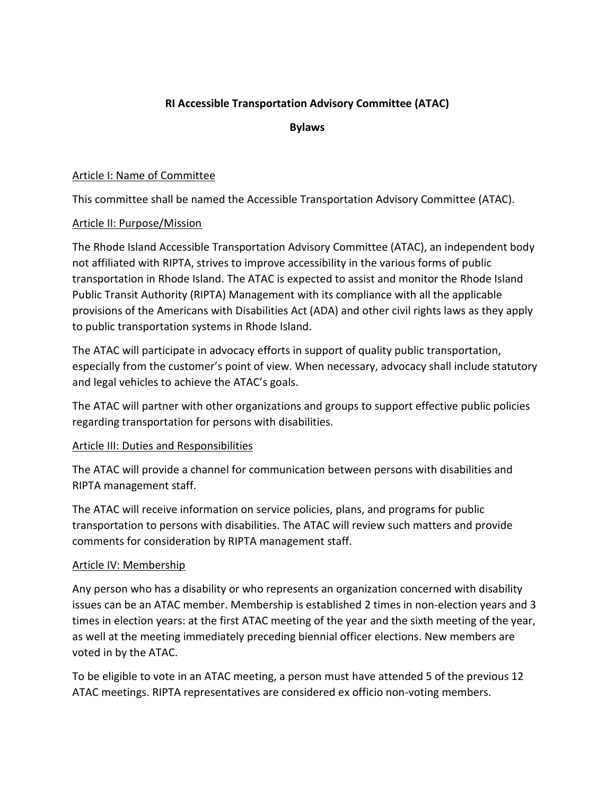# **RI Accessible Transportation Advisory Committee (ATAC)**

**Bylaws**

### Article I: Name of Committee

This committee shall be named the Accessible Transportation Advisory Committee (ATAC).

## Article II: Purpose/Mission

The Rhode Island Accessible Transportation Advisory Committee (ATAC), an independent body not affiliated with RIPTA, strives to improve accessibility in the various forms of public transportation in Rhode Island. The ATAC is expected to assist and monitor the Rhode Island Public Transit Authority (RIPTA) Management with its compliance with all the applicable provisions of the Americans with Disabilities Act (ADA) and other civil rights laws as they apply to public transportation systems in Rhode Island.

The ATAC will participate in advocacy efforts in support of quality public transportation, especially from the customer's point of view. When necessary, advocacy shall include statutory and legal vehicles to achieve the ATAC's goals.

The ATAC will partner with other organizations and groups to support effective public policies regarding transportation for persons with disabilities.

# Article III: Duties and Responsibilities

The ATAC will provide a channel for communication between persons with disabilities and RIPTA management staff.

The ATAC will receive information on service policies, plans, and programs for public transportation to persons with disabilities. The ATAC will review such matters and provide comments for consideration by RIPTA management staff.

#### Article IV: Membership

Any person who has a disability or who represents an organization concerned with disability issues can be an ATAC member. Membership is established 2 times in non-election years and 3 times in election years: at the first ATAC meeting of the year and the sixth meeting of the year, as well at the meeting immediately preceding biennial officer elections. New members are voted in by the ATAC.

To be eligible to vote in an ATAC meeting, a person must have attended 5 of the previous 12 ATAC meetings. RIPTA representatives are considered ex officio non-voting members.